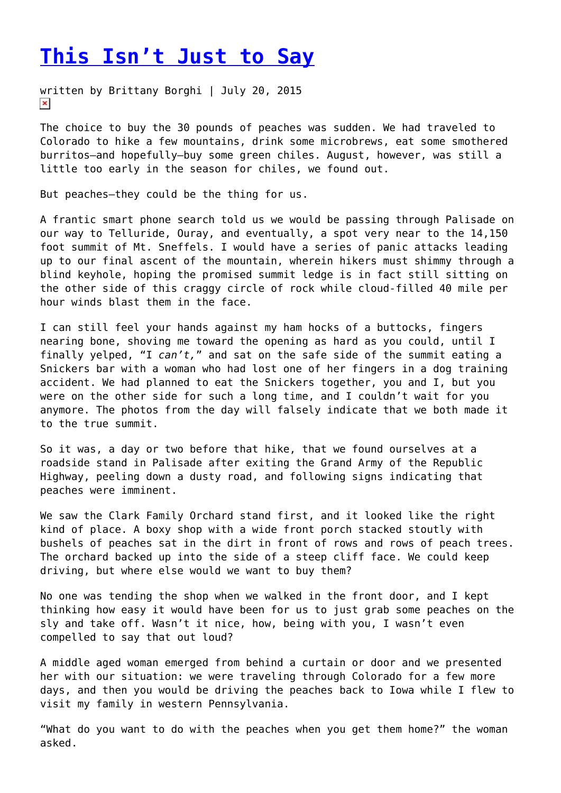## **[This Isn't Just to Say](https://entropymag.org/this-isnt-just-to-say/)**

written by Brittany Borghi | July 20, 2015  $\pmb{\times}$ 

The choice to buy the 30 pounds of peaches was sudden. We had traveled to Colorado to hike a few mountains, drink some microbrews, eat some smothered burritos—and hopefully—buy some green chiles. August, however, was still a little too early in the season for chiles, we found out.

But peaches—they could be the thing for us.

A frantic smart phone search told us we would be passing through Palisade on our way to Telluride, Ouray, and eventually, a spot very near to the 14,150 foot summit of Mt. Sneffels. I would have a series of panic attacks leading up to our final ascent of the mountain, wherein hikers must shimmy through a blind keyhole, hoping the promised summit ledge is in fact still sitting on the other side of this craggy circle of rock while cloud-filled 40 mile per hour winds blast them in the face.

I can still feel your hands against my ham hocks of a buttocks, fingers nearing bone, shoving me toward the opening as hard as you could, until I finally yelped, "I *can't,*" and sat on the safe side of the summit eating a Snickers bar with a woman who had lost one of her fingers in a dog training accident. We had planned to eat the Snickers together, you and I, but you were on the other side for such a long time, and I couldn't wait for you anymore. The photos from the day will falsely indicate that we both made it to the true summit.

So it was, a day or two before that hike, that we found ourselves at a roadside stand in Palisade after exiting the Grand Army of the Republic Highway, peeling down a dusty road, and following signs indicating that peaches were imminent.

We saw the Clark Family Orchard stand first, and it looked like the right kind of place. A boxy shop with a wide front porch stacked stoutly with bushels of peaches sat in the dirt in front of rows and rows of peach trees. The orchard backed up into the side of a steep cliff face. We could keep driving, but where else would we want to buy them?

No one was tending the shop when we walked in the front door, and I kept thinking how easy it would have been for us to just grab some peaches on the sly and take off. Wasn't it nice, how, being with you, I wasn't even compelled to say that out loud?

A middle aged woman emerged from behind a curtain or door and we presented her with our situation: we were traveling through Colorado for a few more days, and then you would be driving the peaches back to Iowa while I flew to visit my family in western Pennsylvania.

"What do you want to do with the peaches when you get them home?" the woman asked.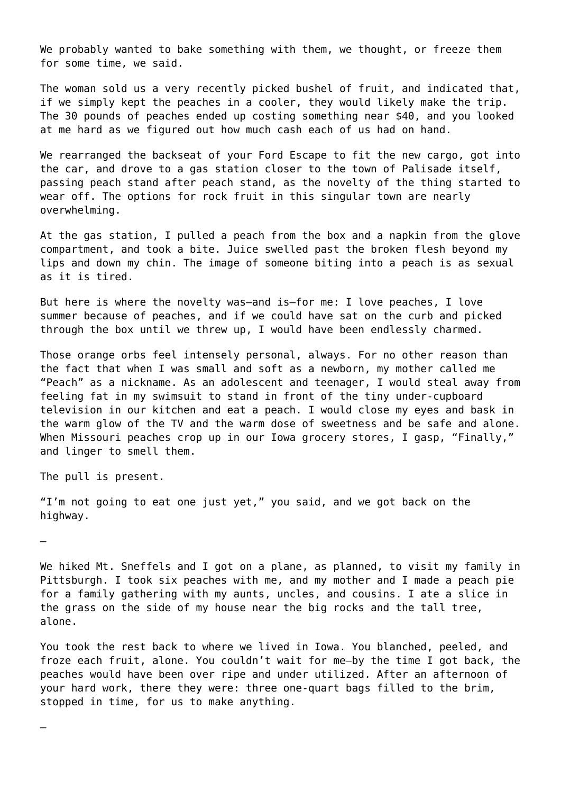We probably wanted to bake something with them, we thought, or freeze them for some time, we said.

The woman sold us a very recently picked bushel of fruit, and indicated that, if we simply kept the peaches in a cooler, they would likely make the trip. The 30 pounds of peaches ended up costing something near \$40, and you looked at me hard as we figured out how much cash each of us had on hand.

We rearranged the backseat of your Ford Escape to fit the new cargo, got into the car, and drove to a gas station closer to the town of Palisade itself, passing peach stand after peach stand, as the novelty of the thing started to wear off. The options for rock fruit in this singular town are nearly overwhelming.

At the gas station, I pulled a peach from the box and a napkin from the glove compartment, and took a bite. Juice swelled past the broken flesh beyond my lips and down my chin. The image of someone biting into a peach is as sexual as it is tired.

But here is where the novelty was—and is—for me: I love peaches, I love summer because of peaches, and if we could have sat on the curb and picked through the box until we threw up, I would have been endlessly charmed.

Those orange orbs feel intensely personal, always. For no other reason than the fact that when I was small and soft as a newborn, my mother called me "Peach" as a nickname. As an adolescent and teenager, I would steal away from feeling fat in my swimsuit to stand in front of the tiny under-cupboard television in our kitchen and eat a peach. I would close my eyes and bask in the warm glow of the TV and the warm dose of sweetness and be safe and alone. When Missouri peaches crop up in our Iowa grocery stores, I gasp, "Finally," and linger to smell them.

The pull is present.

"I'm not going to eat one just yet," you said, and we got back on the highway.

—

—

We hiked Mt. Sneffels and I got on a plane, as planned, to visit my family in Pittsburgh. I took six peaches with me, and my mother and I made a peach pie for a family gathering with my aunts, uncles, and cousins. I ate a slice in the grass on the side of my house near the big rocks and the tall tree, alone.

You took the rest back to where we lived in Iowa. You blanched, peeled, and froze each fruit, alone. You couldn't wait for me—by the time I got back, the peaches would have been over ripe and under utilized. After an afternoon of your hard work, there they were: three one-quart bags filled to the brim, stopped in time, for us to make anything.